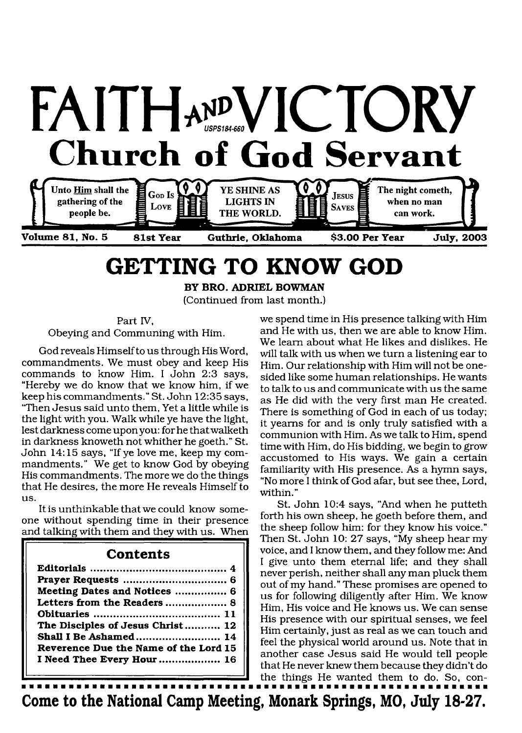

# **GETTING TO KNOW GOD**

**BY BRO. ADRIEL BOWMAN**

(Continued from last month.)

Part IV, Obeying and Communing with Him.

God reveals Himself to us through His Word, commandments. We must obey and keep His commands to know Him. I John 2:3 says, "Hereby we do know that we know him, if we keep his commandments." St. John 12:35 says, "Then Jesus said unto them, Yet a little while is the light with you. Walk while ye have the light, lest darkness come upon you: for he that walketh in darkness knoweth not whither he goeth." St. John 14:15 says, "If ye love me, keep my commandments." We get to know God by obeying His commandments. The more we do the things that He desires, the more He reveals Himself to us.

It is unthinkable that we could know someone without spending time in their presence and talking with them and they with us. When

# **Contents**

| Meeting Dates and Notices  6          |
|---------------------------------------|
| Letters from the Readers  8           |
|                                       |
| The Disciples of Jesus Christ 12      |
| <b>Shall I Be Ashamed 14</b>          |
| Reverence Due the Name of the Lord 15 |
| I Need Thee Every Hour  16            |
|                                       |

we spend time in His presence talking with Him and He with us, then we are able to know Him. We learn about what He likes and dislikes. He will talk with us when we turn a listening ear to Him. Our relationship with Him will not be onesided like some human relationships. He wants to talk to us and communicate with us the same as He did with the very first man He created. There is something of God in each of us today; it yearns for and is only truly satisfied with a communion with Him. As we talk to Him, spend time with Him, do His bidding, we begin to grow accustomed to His ways. We gain a certain familiarity with His presence. As a hymn says, "No more I think of God afar, but see thee, Lord, within."

St. John 10:4 says, "And when he putteth forth his own sheep, he goeth before them, and the sheep follow him: for they know his voice." Then St. John 10: 27 says, "My sheep hear my voice, and I know them, and they follow me: And I give unto them eternal life; and they shall never perish, neither shall any man pluck them out of my hand." These promises are opened to us for following diligently after Him. We know Him, His voice and He knows us. We can sense His presence with our spiritual senses, we feel Him certainly, just as real as we can touch and feel the physical world around us. Note that in another case Jesus said He would tell people that He never knew them because they didn't do the things He wanted them to do. So, con-

Come to the National Camp Meeting, Monark Springs, MO, July 18-27.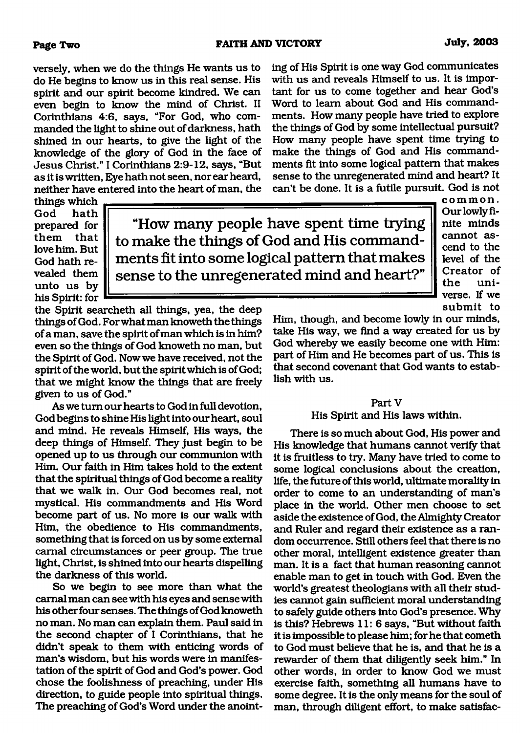versely, when we do the things He wants us to do He begins to know us in this real sense. His spirit and our spirit become kindred. We can even begin to know the mind of Christ. II Corinthians 4:6, says, "For God, who commanded the light to shine out of darkness, hath shined in our hearts, to give the light of the knowledge of the glory of God in the face of Jesus Christ." I Corinthians 2:9-12, says, "But as it is written, Eye hath not seen, nor ear heard, neither have entered into the heart of man, the

ing of His Spirit is one way God communicates with us and reveals Himself to us. It is important for us to come together and hear God's Word to learn about God and His commandments. How many people have tried to explore the things of God by some intellectual pursuit? How many people have spent time trying to make the things of God and His commandments fit into some logical pattern that makes sense to the unregenerated mind and heart? It can't be done. It is a futile pursuit. God is not

things which God hath prepared for them that love him. But God hath revealed them unto us by his Spirit: for

"How many people have spent time trying **to make the things of God and His command**ments fit into some logical pattern that makes sense to the unregenerated mind and heart?"

common. Our lowly finite minds cannot ascend to the level of the Creator of the universe. If we submit to

the Spirit searcheth all things, yea, the deep things of God. For what man knoweth the things of a man, save the spirit of man which is in him? even so the things of God knoweth no man, but the Spirit of God. Now we have received, not the spirit of the world, but the spirit which is of God; that we might know the things that are freely given to us of God."

As we turn our hearts to God in full devotion, God begins to shine His light into our heart, soul and mind. He reveals Himself, His ways, the deep things of Himself. They just begin to be opened up to us through our communion with Him. Our faith in Him takes hold to the extent that the spiritual things of God become a reality that we walk in. Our God becomes real, not mystical. His commandments and His Word become part of us. No more is our walk with Him, the obedience to His commandments, something that is forced on us by some external carnal circumstances or peer group. The true light, Christ, is shined into our hearts dispelling the darkness of this world.

So we begin to see more than what the carnal man can see with his eyes and sense with his other four senses. The things of God knoweth no man. No man can explain them. Paul said in the second chapter of I Corinthians, that he didn't speak to them with enticing words of man's wisdom, but his words were in manifestation of the spirit of God and God's power. God chose the foolishness of preaching, under His direction, to guide people into spiritual things. The preaching of God's Word under the anoint-

Him, though, and become lowly in our minds, take His way, we find a way created for us by God whereby we easily become one with Him: part of Him and He becomes part of us. This is that second covenant that God wants to establish with us.

#### Part V His Spirit and His laws within.

There is so much about God, His power and His knowledge that humans cannot verify that it is fruitless to try. Many have tried to come to some logical conclusions about the creation, life, the future of this world, ultimate morality in order to come to an understanding of man's place in the world. Other men choose to set aside the existence of God, the Almighty Creator and Ruler and regard their existence as a random occurrence. Still others feel that there is no other moral, intelligent existence greater than man. It is a fact that human reasoning cannot enable man to get in touch with God. Even the world's greatest theologians with all their studies cannot gain sufficient moral understanding to safely guide others into God's presence. Why is this? Hebrews 11:6 says, "But without faith it is impossible to please him; for he that cometh to God must believe that he is, and that he is a rewarder of them that diligently seek him." In other words, in order to know God we must exercise faith, something all humans have to some degree. It is the only means for the soul of man, through diligent effort, to make satisfac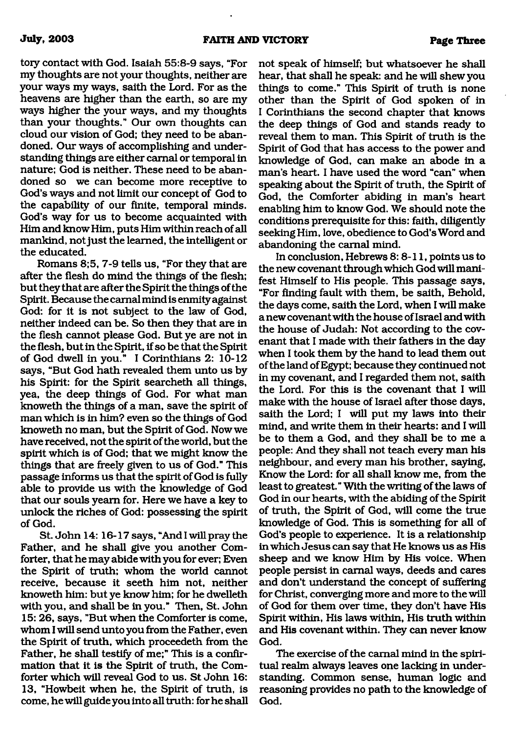tory contact with God. Isaiah 55:8-9 says, "For my thoughts are not your thoughts, neither are your ways my ways, saith the Lord. For as the heavens are higher than the earth, so are my ways higher the your ways, and my thoughts than your thoughts." Our own thoughts can cloud our vision of God; they need to be abandoned. Our ways of accomplishing and understanding things are either carnal or temporal in nature; God is neither. These need to be abandoned so we can become more receptive to God's ways and not limit our concept of God to the capability of our finite, temporal minds. God's way for us to become acquainted with Him and know Him, puts Him within reach of all mankind, not just the learned, the intelligent or the educated.

Romans 8;5, 7-9 tells us, "For they that are after the flesh do mind the things of the flesh; but they that are after the Spirit the things of the Spirit. Because the carnal mind is enmity against God: for it is not subject to the law of God, neither indeed can be. So then they that are in the flesh cannot please God. But ye are not in the flesh, but in the Spirit, if so be that the Spirit of God dwell in you." I Corinthians 2: 10-12 says, "But God hath revealed them unto us by his Spirit: for the Spirit searcheth all things, yea, the deep things of God. For what man knoweth the things of a man, save the spirit of man which is in him? even so the things of God knoweth no man, but the Spirit of God. Now we have received, not the spirit of the world, but the spirit which is of God; that we might know the things that are freely given to us of God." This passage informs us that the spirit of God is fully able to provide us with the knowledge of God that our souls yearn for. Here we have a key to unlock the riches of God: possessing the spirit of God.

St. John 14:16-17 says, "And I will pray the Father, and he shall give you another Comforter, that he may abide with you for ever; Even the Spirit of truth; whom the world cannot receive, because it seeth him not, neither knoweth him: but ye know him; for he dwelleth with you, and shall be in you." Then, St. John 15: 26, says, "But when the Comforter is come, whom I will send unto you from the Father, even the Spirit of truth, which proceedeth from the Father, he shall testify of me;" This is a confirmation that it is the Spirit of truth, the Comforter which will reveal God to us. St John 16: 13, "Howbeit when he, the Spirit of truth, is come, he will guide you into all truth: for he shall not speak of himself; but whatsoever he shall hear, that shall he speak: and he will shew you things to come." This Spirit of truth is none other than the Spirit of God spoken of in I Corinthians the second chapter that knows the deep things of God and stands ready to reveal them to man. This Spirit of truth is the Spirit of God that has access to the power and knowledge of God, can make an abode in a man's heart. I have used the word "can" when speaking about the Spirit of truth, the Spirit of God, the Comforter abiding in man's heart enabling him to know God. We should note the conditions prerequisite for this: faith, diligently seeking Him, love, obedience to God's Word and abandoning the carnal mind.

In conclusion, Hebrews 8: 8-11, points us to the new covenant through which God will manifest Himself to His people. This passage says, "For finding fault with them, be saith, Behold, the days come, saith the Lord, when I will make a new covenant with the house of Israel and with the house of Judah: Not according to the covenant that I made with their fathers in the day when I took them by the hand to lead them out of the land of Egypt; because they continued not in my covenant, and I regarded them not, saith the Lord. For this is the covenant that I will make with the house of Israel after those days, saith the Lord; I will put my laws into their mind, and write them in their hearts: and I will be to them a God, and they shall be to me a people: And they shall not teach every man his neighbour, and every man his brother, saying, Know the Lord: for all shall know me, from the least to greatest." With the writing of the laws of God in our hearts, with the abiding of the Spirit of truth, the Spirit of God, will come the true knowledge of God. This is something for all of God's people to experience. It is a relationship in which Jesus can say that He knows us as His sheep and we know Him by His voice. When people persist in carnal ways, deeds and cares and don't understand the concept of suffering for Christ, converging more and more to the will of God for them over time, they don't have His Spirit within, His laws within, His truth within and His covenant within. They can never know God.

The exercise of the carnal mind in the spiritual realm always leaves one lacking in understanding. Common sense, human logic and reasoning provides no path to the knowledge of God.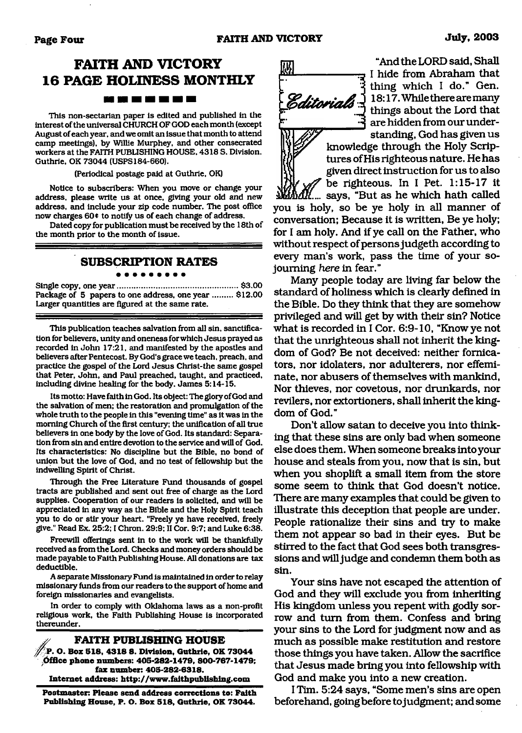# **FAITH AND VICTORY 16 PAGE HOLINESS MONTHLY** <u>na na matati sa milim</u>

This non-sectarian paper is edited and published in the interest of the universal CHURCH OF GOD each month (except August of each year, and we omit an issue that month to attend camp meetings), by Willie Murphey, and other consecrated workers at the FAITH PUBLISHING HOUSE, 4318 S. Division, Guthrie. OK 73044 (USPS184-660).

(Periodical postage paid at Guthrie, OK)

Notice to subscribers: When you move or change your address, please write us at once, giving your old and new address, and Include your zip code number. The post office now charges 60\* to notify us of each change of address.

Dated copy for publication must be received by the 18th of the month prior to the month of issue.

## **SUBSCRIPTION RATES**

. . . . . .

Single copy, one year..................................................... \$3.00 Package of 5 papers to one address, one year ......... \$12.00 Larger quantities are figured at the same rate.

This publication teaches salvation from all sin. sanctification for believers, unify and oneness for which Jesus prayed as recorded in John 17:21, and manifested by the apostles and believers after Pentecost. By God's grace we teach, preach, and practice the gospel of the Lord Jesus Christ-the same gospel that Peter, John, and Paul preached, taught, and practiced, including divine healing for the body. James 5:14-15.

Its motto: Have faith in God. Its object: The glory of God and the salvation of men; the restoration and promulgation of the whole truth to the people in this "evening time" as it was in the morning Church of the first century; the unification of all true believers in one body by the love of God. Its standard: Separation from sin and entire devotion to the service and will of God. Its characteristics: No discipline but the Bible, no bond of union but the love of God. and no test of fellowship but the indwelling Spirit of Christ.

Through the Free Literature Fund thousands of gospel tracts are published and sent out free of charge as the Lord supplies. Cooperation of our readers is solicited, and will be appreciated in any way as the Bible and the Holy Spirit teach you to do or stir your heart. "Freely ye have received, freely give." Read Ex. 25:2; I Chron. 29:9; II Cor. 9:7; and Luke 6:38.

Freewill offerings sent in to the work will be thankfully received as from the Lord. Checks and money orders should be made payable to Faith Publishing House. All donations are tax deductible.

A separate Missionary Fund is maintained in order to relay missionary funds from our readers to the support of home and foreign missionaries and evangelists.

In order to comply with Oklahoma laws as a non-profit religious work, the Faith Publishing House is incorporated thereunder.

# *#* **FAITH PUBLISH ING HOUSE**

**?P. O. Box 518, 4318 8. Division, Guthrie, OK 73044 bffice phone numbers: 405-282-1479, 800-767-1479; fax number: 405-282-6318.**

**Internet address:<http://www.faithpublishing.com>**

**Postmaster: Please send address corrections to: Faith Publishing House, P. O. Box 518, Guthrie, OK 73044.**



"And the LORD said, Shall  $\frac{1}{2}$  I hide from Abraham that thing which I do." Gen. 18:17. While there are many things about the Lord that are hidden from our understanding, God has given us

knowledge through the Holy Scriptures of His righteous nature. He has given direct instruction for us to also be righteous. In I Pet. 1:15-17 it

 $\mathcal{M}_{\dots}$  says, "But as he which hath called you is holy, so be ye holy in all manner of conversation; Because it is written, Be ye holy; for I am holy. And if ye call on the Father, who without respect of persons judgeth according to every man's work, pass the time of your sojourning *here* in fear."

Many people today are living far below the standard of holiness which is clearly defined in the Bible. Do they think that they are somehow privileged and will get by with their sin? Notice what is recorded in I Cor. 6:9-10, "Know ye not that the unrighteous shall not inherit the kingdom of God? Be not deceived: neither fornicators, nor idolaters, nor adulterers, nor effeminate, nor abusers of themselves with mankind, Nor thieves, nor covetous, nor drunkards, nor revilers, nor extortioners, shall inherit the kingdom of God."

Don't allow satan to deceive you into thinking that these sins are only bad when someone else does them. When someone breaks into your house and steals from you, now that is sin, but when you shoplift a small item from the store some seem to think that God doesn't notice. There are many examples that could be given to illustrate this deception that people are under. People rationalize their sins and try to make them not appear so bad in their eyes. But be stirred to the fact that God sees both transgressions and will judge and condemn them both as sin.

Your sins have not escaped the attention of God and they will exclude you from inheriting His kingdom unless you repent with godly sorrow and turn from them. Confess and bring your sins to the Lord for judgment now and as much as possible make restitution and restore those things you have taken. Allow the sacrifice that Jesus made bring you into fellowship with God and make you into a new creation.

I Tim. 5:24 says, "Some men's sins are open beforehand, going before to judgment; and some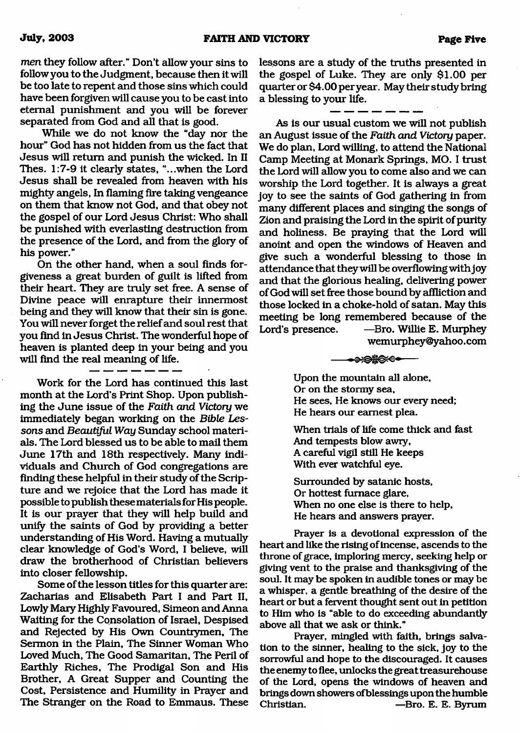*men* they follow after." Don't allow your sins to follow you to the Judgment, because then it will be too late to repent and those sins which could have been forgiven will cause you to be cast into eternal punishment and you will be forever separated from God and all that is good.

While we do not know the "day nor the hour" God has not hidden from us the fact that Jesus will return and punish the wicked. In II Thes. 1:7-9 it clearly states, "...when the Lord Jesus shall be revealed from heaven with his mighty angels, In flaming fire taking vengeance on them that know not God, and that obey not the gospel of our Lord Jesus Christ: Who shall be punished with everlasting destruction from the presence of the Lord, and from the glory of his power."

On the other hand, when a soul finds forgiveness a great burden of guilt is lifted from their heart. They are truly set free. A sense of Divine peace will enrapture their innermost being and they will know that their sin is gone. You will never forget the relief and soul rest that you find in Jesus Christ. The wonderful hope of heaven is planted deep in your being and you will find the real meaning of life.

Work for the Lord has continued this last month at the Lord's Print Shop. Upon publishing the June issue of the *Faith and Victory* we immediately began working on the *Bible Lessons* and *Beautiful Way* Sunday school materials. The Lord blessed us to be able to mail them June 17th and 18th respectively. Many individuals and Church of God congregations are finding these helpful in their study of the Scripture and we rejoice that the Lord has made it possible to publish these materials for His people. It is our prayer that they will help build and unify the saints of God by providing a better understanding of His Word. Having a mutually clear knowledge of God's Word, I believe, will draw the brotherhood of Christian believers into closer fellowship.

Some of the lesson titles for this quarter are: Zacharias and Elisabeth Part I and Part II, Lowly Mary Highly Favoured, Simeon and Anna Waiting for the Consolation of Israel, Despised and Rejected by His Own Countrymen, The Sermon in the Plain, The Sinner Woman Who Loved Much, The Good Samaritan, The Peril of Earthly Riches, The Prodigal Son and His Brother, A Great Supper and Counting the Cost, Persistence and Humility in Prayer and The Stranger on the Road to Emmaus. These

lessons are a study of the truths presented in the gospel of Luke. They are only \$1.00 per quarter or \$4.00 per year. May their study bring a blessing to your life.

As is our usual custom we will not publish an August issue of the *Faith and Victory* paper. We do plan, Lord willing, to attend the National Camp Meeting at Monark Springs, MO. I trust the Lord will allow you to come also and we can worship the Lord together. It is always a great joy to see the saints of God gathering in from many different places and singing the songs of Zion and praising the Lord in the spirit of purity and holiness. Be praying that the Lord will anoint and open the windows of Heaven and give such a wonderful blessing to those in attendance that they will be overflowing with joy and that the glorious healing, delivering power of God will set free those bound by affliction and those locked in a choke-hold of satan. May this meeting be long remembered because of the Lord's presence. —Bro. Willie E. Murphey [wemurphey@yahoo.com](mailto:wemurphey@yahoo.com)

> Upon the mountain all alone, Or on the stormy sea, He sees, He knows our every need; He hears our earnest plea.

**⊷≫▓⊜⊱⊷** 

When trials of life come thick and fast And tempests blow awry, A careful vigil still He keeps With ever watchful eye.

Surrounded by satanic hosts, Or hottest furnace glare, When no one else is there to help, He hears and answers prayer.

Prayer is a devotional expression of the heart and like the rising of incense, ascends to the throne of grace, imploring mercy, seeking help or giving vent to the praise and thanksgiving of the soul. It may be spoken in audible tones or may be a whisper, a gentle breathing of the desire of the heart or but a fervent thought sent out in petition to Him who is "able to do exceeding abundantly above all that we ask or think."

Prayer, mingled with faith, brings salvation to the sinner, healing to the sick, joy to the sorrowful and hope to the discouraged. It causes the enemy to flee, unlocks the great treasurehouse of the Lord, opens the windows of heaven and brings down showers ofblessings upon the humble Christian. —Bro. E. E. Byrum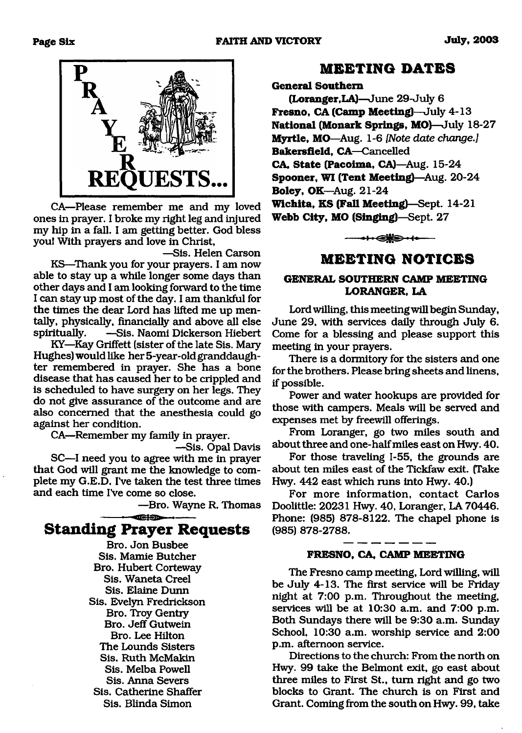

CA—Please remember me and my loved ones in prayer. I broke my right leg and injured my hip in a fall. I am getting better. God bless you! With prayers and love in Christ,

—Sis. Helen Carson KS—Thank you for your prayers. I am now able to stay up a while longer some days than other days and I am looking forward to the time I can stay up most of the day. I am thankful for the times the dear Lord has lifted me up mentally, physically, financially and above all else spiritually. —Sis. Naomi Dickerson Hiebert

KY—Kay Griffett (sister of the late Sis. Mary Hughes) would like her 5-year-old granddaughter remembered in prayer. She has a bone disease that has caused her to be crippled and is scheduled to have surgery on her legs. They do not give assurance of the outcome and are also concerned that the anesthesia could go against her condition.

CA—Remember my family in prayer.

—Sis. Opal Davis SC—I need you to agree with me in prayer that God will grant me the knowledge to complete my G.E.D. I've taken the test three times and each time I've come so close.

—Bro. Wayne R. Thomas

# $\overline{\text{H}}$ **Standing Prayer Requests**

Bro. Jon Busbee Sis. Mamie Butcher Bro. Hubert Corteway Sis. Waneta Creel Sis. Elaine Dunn Sis. Evelyn Fredrickson Bro. Troy Gentry Bro. Jeff Gutwein Bro. Lee Hilton The Lounds Sisters Sis. Ruth McMakin Sis. Melba Powell Sis. Anna Severs Sis. Catherine Shaffer Sis. Blinda Simon

# **M EET IN G DATES**

**General Southern**

**(Loranger.LA)**—June 29-July 6 **Fresno, CA (Camp Meeting)**—July 4-13 **National (Monark Springs, MO)**—July 18-27 **Myrtle, MO—**Aug. 1-6 *[Note date change.]* **Bakersfield, CA—**Cancelled **CA, State (Pacoima, CA)—**Aug. 15-24 **Spooner, WI (Tent Meeting)—Aug. 20-24 Boley, OK—**Aug. 21-24 **Wichita, KS (Fall Meeting)—**Sept. 14-21 **Webb City, MO (Singing)**—Sept. 27

 $\leftarrow$ 

# **M EETING NOTICES**

#### **GENERAL SOUTHERN CAMP MEETING LORANGER, LA**

Lord willing, this meeting will begin Sunday, June 29, with services daily through July 6. Come for a blessing and please support this meeting in your prayers.

There is a dormitory for the sisters and one for the brothers. Please bring sheets and linens, if possible.

Power and water hookups are provided for those with campers. Meals will be served and expenses met by freewill offerings.

From Loranger, go two miles south and about three and one-half miles east on Hwy. 40.

For those traveling 1-55, the grounds are about ten miles east of the Tickfaw exit. (Take Hwy. 442 east which runs into Hwy. 40.)

For more information, contact Carlos Doolittle: 20231 Hwy. 40, Loranger, LA 70446. Phone: (985) 878-8122. The chapel phone is (985) 878-2788.

#### **FRESNO, CA, CAMP MEETING**

The Fresno camp meeting, Lord willing, will be July 4-13. The first service will be Friday night at 7:00 p.m. Throughout the meeting, services will be at 10:30 a.m. and 7:00 p.m. Both Sundays there will be 9:30 a.m. Sunday School, 10:30 a.m. worship service and 2:00 p.m. afternoon service.

Directions to the church: From the north on Hwy. 99 take the Belmont exit, go east about three miles to First St., turn right and go two blocks to Grant. The church is on First and Grant. Coming from the south on Hwy. 99, take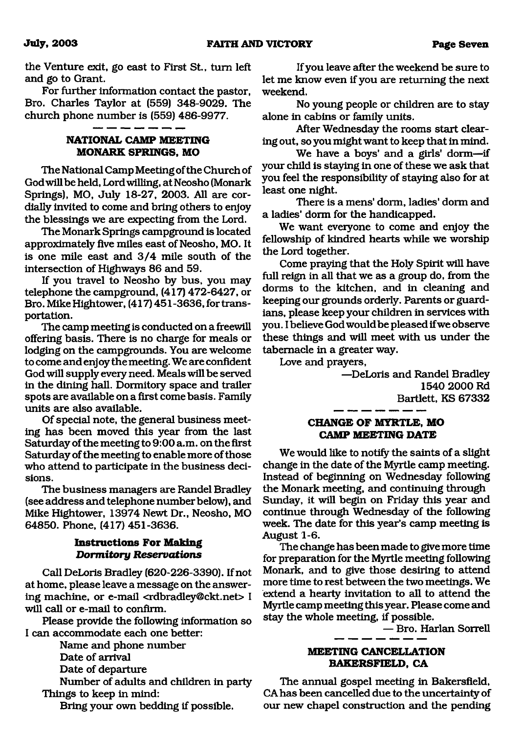the Venture exit, go east to First St., turn left and go to Grant.

For further information contact the pastor, Bro. Charles Taylor at (559) 348-9029. The church phone number is (559) 486-9977.

#### **NATIONAL CAMP MEETING MONARK SPRINGS, MO**

The National Camp Meeting of the Church of God will be held, Lord willing, at Neosho (Monark Springs), MO, July 18-27, 2003. All are cordially invited to come and bring others to enjoy the blessings we are expecting from the Lord.

The Monark Springs campground is located approximately five miles east of Neosho, MO. It is one mile east and 3/4 mile south of the intersection of Highways 86 and 59.

If you travel to Neosho by bus, you may telephone the campground, (417) 472-6427, or Bro. Mike Hightower, (417) 451-3636, for transportation.

The camp meeting is conducted on a freewill offering basis. There is no charge for meals or lodging on the campgrounds. You are welcome to come and enjoy the meeting. We are confident God will supply every need. Meals will be served in the dining hall. Dormitory space and trailer spots are available on a first come basis. Family units are also available.

Of special note, the general business meeting has been moved this year from the last Saturday of the meeting to 9:00 a.m. on the first Saturday of the meeting to enable more of those who attend to participate in the business decisions.

The business managers are Randel Bradley (see address and telephone number below), and Mike Hightower, 13974 Newt Dr., Neosho, MO 64850. Phone, (417) 451-3636.

#### **Instructions For Making** *Dorm itory Reservations*

Call DeLoris Bradley (620-226-3390). If not at home, please leave a message on the answering machine, or e-mail <[rdbradley@ckt.net>](mailto:rdbradley@ckt.net) I will call or e-mail to confirm.

Please provide the following information so I can accommodate each one better:

Name and phone number

Date of arrival

Date of departure

Number of adults and children in party Things to keep in mind:

Bring your own bedding if possible.

If you leave after the weekend be sure to let me know even if you are returning the next weekend.

No young people or children are to stay alone in cabins or family units.

After Wednesday the rooms start clearing out, so you might want to keep that in mind.

We have a boys' and a girls' dorm—if your child is staying in one of these we ask that you feel the responsibility of staying also for at least one night.

There is a mens' dorm, ladies' dorm and a ladies' dorm for the handicapped.

We want everyone to come and enjoy the fellowship of kindred hearts while we worship the Lord together.

Come praying that the Holy Spirit will have full reign in ail that we as a group do, from the dorms to the kitchen, and in cleaning and keeping our grounds orderly. Parents or guardians, please keep your children in services with you. I believe God would be pleased if we observe these things and will meet with us under the tabernacle in a greater way.

Love and prayers,

—DeLoris and Randel Bradley 1540 2000 Rd Bartlett, KS 67332

# **CHANGE OF MYRTLE, MO CAMP MEETING DATE**

. ... ... ... .

We would like to notify the saints of a slight change in the date of the Myrtle camp meeting. Instead of beginning on Wednesday following the Monark meeting, and continuing through Sunday, it will begin on Friday this year and continue through Wednesday of the following week. The date for this year's camp meeting is August 1-6.

The change has been made to give more time for preparation for the Myrtle meeting following Monark, and to give those desiring to attend more time to rest between the two meetings. We extend a hearty invitation to all to attend the Myrtle camp meeting this year. Please come and stay the whole meeting, if possible.

— Bro. Harlan Sorrell

# **MEETING CANCELLATION BAKERSFIELD, CA**

The annual gospel meeting in Bakersfield, CAhas been cancelled due to the uncertainty of our new chapel construction and the pending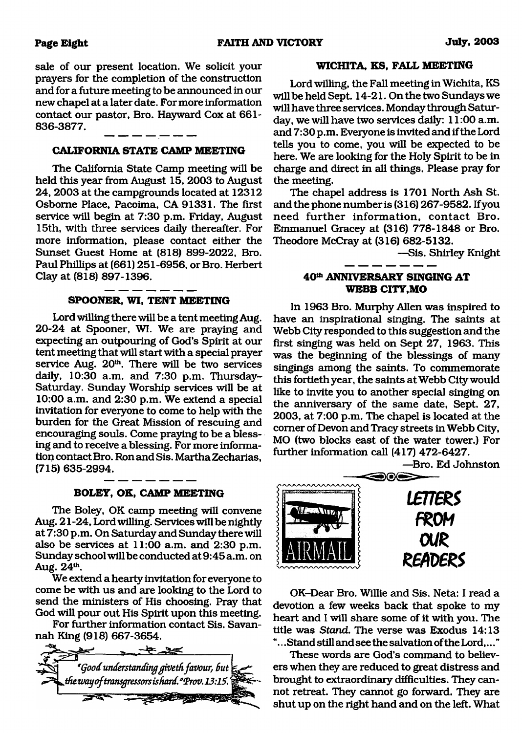sale of our present location. We solicit your prayers for the completion of the construction and for a future meeting to be announced in our new chapel at a later date. For more information contact our pastor, Bro. Hayward Cox at 661- 836-3877.

#### **CALIFORNIA STATE CAMP MEETING**

The California State Camp meeting will be held this year from August 15, 2003 to August 24, 2003 at the campgrounds located at 12312 Osborne Place, Pacoima, CA 91331. The first service will begin at 7:30 p.m. Friday, August 15th, with three services daily thereafter. For more information, please contact either the Sunset Guest Home at (818) 899-2022, Bro. Paul Phillips at (661) 251-6956, or Bro. Herbert Clay at (818) 897-1396.

#### **SPOONER, WI, TENT MEETING**

Lord willing there will be a tent meeting Aug. 20-24 at Spooner, WI. We are praying and expecting an outpouring of God's Spirit at our tent meeting that will start with a special prayer service Aug. 20<sup>th</sup>. There will be two services daily, 10:30 a.m. and 7:30 p.m. Thursday-Saturday. Sunday Worship services will be at 10:00 a.m. and 2:30 p.m. We extend a special invitation for everyone to come to help with the burden for the Great Mission of rescuing and encouraging souls. Come praying to be a blessing and to receive a blessing. For more information contact Bro. Ron and Sis. Martha Zecharias, (715) 635-2994.

#### **BOLEY, OK. CAMP MEETING**

The Boley, OK camp meeting will convene Aug. 21 -24, Lord willing. Services will be nightly at 7:30 p.m. On Saturday and Sunday there will also be services at 11:00 a.m. and 2:30 p.m. Sunday school will be conducted at 9:45 a.m. on Aug.  $24<sup>th</sup>$ .

We extend a hearty invitation for everyone to come be with us and are looking to the Lord to send the ministers of His choosing. Pray that God will pour out His Spirit upon this meeting.

For further information contact Sis. Savannah King (918) 667-3654.



#### **WICHITA, KS, FALL MEETING**

Lord willing, the Fall meeting in Wichita, KS will be held Sept. 14-21. On the two Sundays we will have three services. Monday through Saturday, we will have two services daily: 11:00 a.m. and 7:30 p.m. Everyone is invited and if the Lord tells you to come, you will be expected to be here. We are looking for the Holy Spirit to be in charge and direct in all things. Please pray for the meeting.

The chapel address is 1701 North Ash St. and the phone number is (316) 267-9582. If you need further information, contact Bro. Emmanuel Gracey at (316) 778-1848 or Bro. Theodore McCray at (316) 682-5132.

—Sis. Shirley Knight

# **40th ANNIVERSARY SINGING AT WEBB CITY,MO**

In 1963 Bro. Murphy Allen was inspired to have an inspirational singing. The saints at Webb City responded to this suggestion and the first singing was held on Sept 27, 1963. This was the beginning of the blessings of many singings among the saints. To commemorate this fortieth year, the saints at Webb City would like to invite you to another special singing on the anniversary of the same date. Sept. 27, 2003, at 7:00 p.m. The chapel is located at the comer of Devon and Tracy streets in Webb City, MO (two blocks east of the water tower.) For further information call (417) 472-6427.



OK-Dear Bro. Willie and Sis. Neta: I read a devotion a few weeks back that spoke to my heart and I will share some of it with you. The title was *Stand.* The verse was Exodus 14:13 "... Stand still and see the salvation of the Lord,..."

These words are God's command to believers when they are reduced to great distress and brought to extraordinary difficulties. They cannot retreat. They cannot go forward. They are shut up on the right hand and on the left. What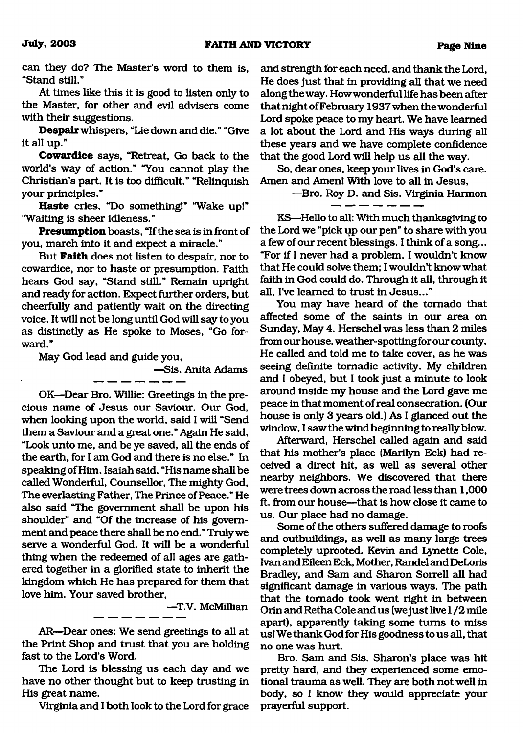can they do? The Master's word to them is, "Stand still."

At times like this it is good to listen only to the Master, for other and evil advisers come with their suggestions.

**Despair** whispers, "Lie down and die." "Give it all up."

**Cowardice** says, "Retreat, Go back to the world's way of action." "You cannot play the Christian's part. It is too difficult." "Relinquish your principles."

**Haste** cries, "Do something!" "Wake up!" "Waiting is sheer idleness."

**Presumption** boasts, "If the sea is in front of you, march into it and expect a miracle."

But **Faith** does not listen to despair, nor to cowardice, nor to haste or presumption. Faith hears God say, "Stand still." Remain upright and ready for action. Expect further orders, but cheerfully and patiently wait on the directing voice. It will not be long until God will say to you as distinctly as He spoke to Moses, "Go forward."

May God lead and guide you,

—Sis. Anita Adams

OK—Dear Bro. Willie: Greetings in the precious name of Jesus our Saviour. Our God, when looking upon the world, said I will "Send them a Saviour and a great one." Again He said, "Look unto me, and be ye saved, all the ends of the earth, for I am God and there is no else." In speaking of Him, Isaiah said, "His name shall be called Wonderful, Counsellor, The mighty God, The everlasting Father, The Prince of Peace." He also said "The government shall be upon his shoulder" and "Of the increase of his government and peace there shall be no end." Truly we serve a wonderful God. It will be a wonderful thing when the redeemed of all ages are gathered together in a glorified state to inherit the kingdom which He has prepared for them that love him. Your saved brother,

—T.V. McMillian

AR—Dear ones: We send greetings to all at the Print Shop and trust that you are holding fast to the Lord's Word.

The Lord is blessing us each day and we have no other thought but to keep trusting in His great name.

Virginia and I both look to the Lord for grace

and strength for each need, and thank the Lord, He does just that in providing all that we need along the way. How wonderful life has been after that night of February 1937when the wonderful Lord spoke peace to my heart. We have learned a lot about the Lord and His ways during all these years and we have complete confidence that the good Lord will help us all the way.

So, dear ones, keep your lives in God's care. Amen and Amen! With love to all in Jesus,

> —Bro. Roy D. and Sis. Virginia Harmon -----

KS—Hello to all: With much thanksgiving to the Lord we "pick up our pen" to share with you a few of our recent blessings. I think of a song... "For if I never had a problem, I wouldn't know that He could solve them; I wouldn't know what faith in God could do. Through it all, through it all, I've learned to trust in Jesus..."

You may have heard of the tornado that affected some of the saints in our area on Sunday, May 4. Herschel was less than 2 miles from our house, weather-spotting for our county. He called and told me to take cover, as he was seeing definite tomadic activity. My children and I obeyed, but I took just a minute to look around inside my house and the Lord gave me peace in that moment of real consecration. (Our house is only 3 years old.) As I glanced out the window, I saw the wind beginning to really blow.

Afterward, Herschel called again and said that his mother's place (Marilyn Eck) had received a direct hit, as well as several other nearby neighbors. We discovered that there were trees down across the road less than 1,000 ft. from our house—that is how close it came to us. Our place had no damage.

Some of the others suffered damage to roofs and outbuildings, as well as many large trees completely uprooted. Kevin and Lynette Cole, Ivan and Eileen Eck, Mother, Randel and DeLoris Bradley, and Sam and Sharon Sorrell all had significant damage in various ways. The path that the tornado took went right in between Orin and Retha Cole and us (we just live 1 /2 mile apart), apparently taking some turns to miss us! We thank God for His goodness to us all, that no one was hurt.

Bro. Sam and Sis. Sharon's place was hit pretty hard, and they experienced some emotional trauma as well. They are both not well in body, so I know they would appreciate your prayerful support.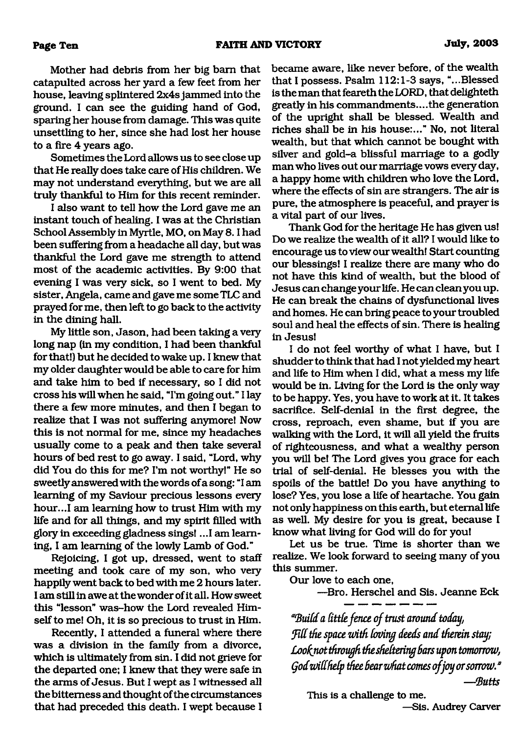# **Page Ten FAITH AND VICTORY July, 2003**

Mother had debris from her big bam that catapulted across her yard a few feet from her house, leaving splintered 2x4s jammed into the ground. I can see the guiding hand of God, sparing her house from damage. This was quite unsettling to her, since she had lost her house to a fire 4 years ago.

Sometimes the Lord allows us to see close up that He really does take care of His children. We may not understand everything, but we are all truly thankful to Him for this recent reminder.

I also want to tell how the Lord gave me an instant touch of healing. I was at the Christian School Assembly in Myrtle, MO, on May 8. I had been suffering from a headache all day, but was thankful the Lord gave me strength to attend most of the academic activities. By 9:00 that evening I was very sick, so I went to bed. My sister, Angela, came and gave me someTLC and prayed forme, then left to go back to the activity in the dining hall.

My little son, Jason, had been taking a very long nap (in my condition, I had been thankful for that!) but he decided to wake up. I knew that my older daughter would be able to care for him and take him to bed if necessary, so I did not cross his will when he said, "I'm going out." I lay there a few more minutes, and then I began to realize that I was not suffering anymore! Now this is not normal for me, since my headaches usually come to a peak and then take several hours of bed rest to go away. I said, "Lord, why did You do this for me? I'm not worthy!" He so sweetly answered with the words of a song: "I am learning of my Saviour precious lessons every hour...I am learning how to trust Him with my life and for all things, and my spirit filled with glory in exceeding gladness sings! ...I am learning, I am learning of the lowly Lamb of God."

Rejoicing, I got up, dressed, went to staff meeting and took care of my son, who very happily went back to bed with me 2 hours later. I am still in awe at the wonder of it all. How sweet this "lesson" was-how the Lord revealed Himself to me! Oh, it is so precious to trust in Him.

Recently, I attended a funeral where there was a division in the family from a divorce, which is ultimately from sin. I did not grieve for the departed one; I knew that they were safe in the arms of Jesus. But I wept as I witnessed all the bitterness and thought of the circumstances that had preceded this death. I wept because I became aware, like never before, of the wealth that I possess. Psalm 112:1-3 says, "...Blessed is the man that feareth the LORD, that delighteth greatly in his commandments....the generation of the upright shall be blessed. Wealth and riches shall be in his house:..." No, not literal wealth, but that which cannot be bought with silver and gold-a blissful marriage to a godly man who lives out our marriage vows every day, a happy home with children who love the Lord, where the effects of sin are strangers. The air is pure, the atmosphere is peaceful, and prayer is a vital part of our lives.

Thank God for the heritage He has given us! Do we realize the wealth of it all? I would like to encourage us to view our wealth! Start counting our blessings! I realize there are many who do not have this kind of wealth, but the blood of Jesus can change your life. He can clean you up. He can break the chains of dysfunctional lives and homes. He can bring peace to your troubled soul and heal the effects of sin. There is healing in Jesus!

I do not feel worthy of what I have, but I shudder to think that had I not yielded my heart and life to Him when I did, what a mess my life would be in. Living for the Lord is the only way to be happy. Yes, you have to work at it. It takes sacrifice. Self-denial in the first degree, the cross, reproach, even shame, but if you are walking with the Lord, it will all yield the fruits of righteousness, and what a wealthy person you will be! The Lord gives you grace for each trial of self-denial. He blesses you with the spoils of the battle! Do you have anything to lose? Yes, you lose a life of heartache. You gain not only happiness on this earth, but eternal life as well. My desire for you is great, because I know what living for God will do for you!

Let us be true. Time is shorter than we realize. We look forward to seeing many of you this summer.

Our love to each one,

—Bro. Herschel and Sis. Jeanne Eck

*atBui(d a little fence of trust around today,* Fill the space with loving deeds and therein stay; Look not through the sheltering bars upon tomorrow, *God will help thee bear what comes of joy or sorrow.*<sup>*n*</sup> — I*Butts*

#### This is a challenge to me.

—Sis. Audrey Carver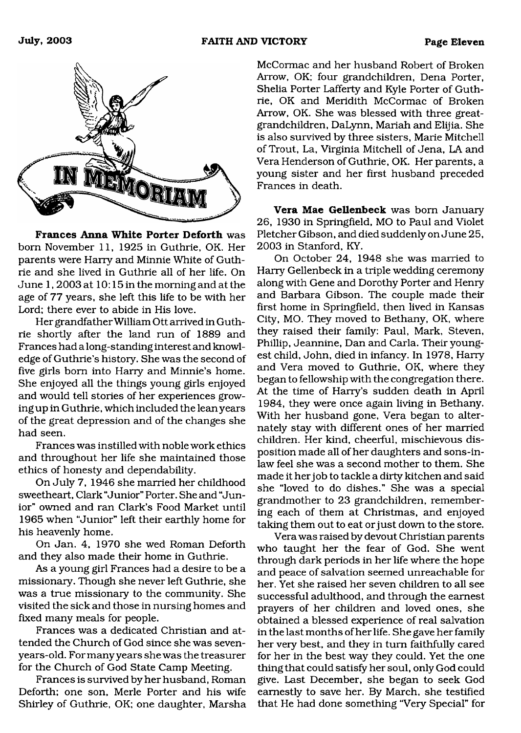

**Frances Anna White Porter Deforth** was bom November 11, 1925 in Guthrie, OK. Her parents were Harry and Minnie White of Guthrie and she lived in Guthrie all of her life. On June 1,2003 at 10:15 in the morning and at the age of 77 years, she left this life to be with her Lord; there ever to abide in His love.

Her grandfather William Ott arrived in Guthrie shortly after the land run of 1889 and Frances had a long-standing interest and knowledge of Guthrie's history. She was the second of five girls bom into Harry and Minnie's home. She enjoyed all the things young girls enjoyed and would tell stories of her experiences growing up in Guthrie, which included the lean years of the great depression and of the changes she had seen.

Frances was instilled with noble work ethics and throughout her life she maintained those ethics of honesty and dependability.

On July 7, 1946 she married her childhood sweetheart, Clark "Junior" Porter. She and "Junior" owned and ran Clark's Food Market until 1965 when "Junior" left their earthly home for his heavenly home.

On Jan. 4, 1970 she wed Roman Deforth and they also made their home in Guthrie.

As a young girl Frances had a desire to be a missionary. Though she never left Guthrie, she was a true missionary to the community. She visited the sick and those in nursing homes and fixed many meals for people.

Frances was a dedicated Christian and attended the Church of God since she was sevenyears-old. Formanyyears she was the treasurer for the Church of God State Camp Meeting.

Frances is survived by her husband, Roman Deforth; one son, Merle Porter and his wife Shirley of Guthrie, OK; one daughter, Marsha

McCormac and her husband Robert of Broken Arrow, OK; four grandchildren, Dena Porter, Shelia Porter Lafferty and Kyle Porter of Guthrie, OK and Meridith McCormac of Broken Arrow, OK. She was blessed with three greatgrandchildren, DaLynn, Mariah and Elijia. She is also survived by three sisters, Marie Mitchell of Trout, La, Virginia Mitchell of Jena, LA and Vera Henderson of Guthrie, OK. Her parents, a young sister and her first husband preceded Frances in death.

**Vera Mae Gellenbeck** was bom January 26, 1930 in Springfield, MO to Paul and Violet Pletcher Gibson, and died suddenly on June 25, 2003 in Stanford, KY.

On October 24, 1948 she was married to Harry Gellenbeck in a triple wedding ceremony along with Gene and Dorothy Porter and Hemy and Barbara Gibson. The couple made their first home in Springfield, then lived in Kansas City, MO. They moved to Bethany, OK, where they raised their family: Paul, Mark, Steven, Phillip, Jeannine, Dan and Carla. Their youngest child, John, died in infancy. In 1978, Harry and Vera moved to Guthrie, OK, where they began to fellowship with the congregation there. At the time of Harry's sudden death in April 1984, they were once again living in Bethany. With her husband gone, Vera began to alternately stay with different ones of her married children. Her kind, cheerful, mischievous disposition made all of her daughters and sons-inlaw feel she was a second mother to them. She made it her job to tackle a dirty kitchen and said she "loved to do dishes." She was a special grandmother to 23 grandchildren, remembering each of them at Christmas, and enjoyed taking them out to eat or just down to the store.

Vera was raised by devout Christian parents who taught her the fear of God. She went through dark periods in her life where the hope and peace of salvation seemed unreachable for her. Yet she raised her seven children to all see successful adulthood, and through the earnest prayers of her children and loved ones, she obtained a blessed experience of real salvation in the last months of her life. She gave her family her very best, and they in turn faithfully cared for her in the best way they could. Yet the one thing that could satisfy her soul, only God could give. Last December, she began to seek God earnestly to save her. By March, she testified that He had done something "Very Special" for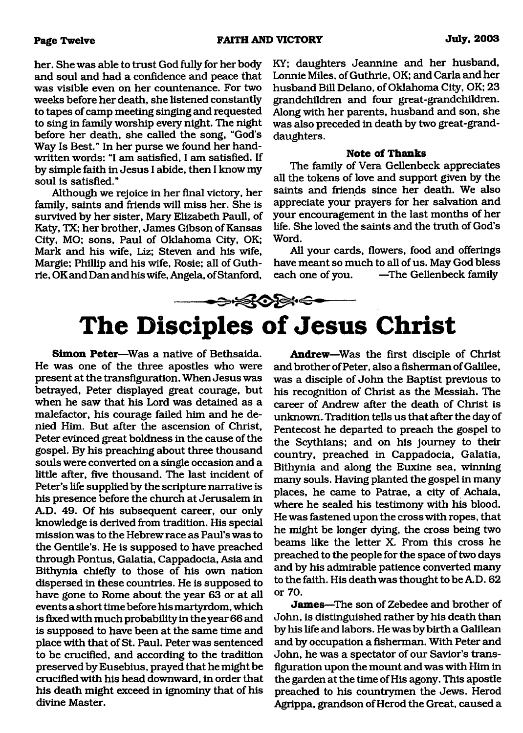# **Page Twelve FAITH AND VICTORY July, 2003**

her. She was able to trust God fully for her body and soul and had a confidence and peace that was visible even on her countenance. For two weeks before her death, she listened constantly to tapes of camp meeting singing and requested to sing in family worship every night. The night before her death, she called the song, "God's Way Is Best." In her purse we found her handwritten words: "I am satisfied, I am satisfied. If by simple faith in Jesus I abide, then I know my soul is satisfied."

Although we rejoice in her final victory, her family, saints and friends will miss her. She is survived by her sister, Mary Elizabeth Pauli, of Katy, TX; her brother, James Gibson of Kansas City, MO; sons, Paul of Oklahoma City, OK; Mark and his wife, Liz; Steven and his wife, Margie; Phillip and his wife, Rosie; all of Guthrie, OK and Dan and his wife, Angela, of Stanford,

KY; daughters Jeannine and her husband, Lonnie Miles, of Guthrie, OK; and Carla and her husband Bill Delano, of Oklahoma City, OK; 23 grandchildren and four great-grandchildren. Along with her parents, husband and son, she was also preceded in death by two great-granddaughters.

#### **Note of Thanks**

The family of Vera Gellenbeck appreciates all the tokens of love and support given by the saints and friends since her death. We also appreciate your prayers for her salvation and your encouragement in the last months of her life. She loved the saints and the truth of God's Word.

All your cards, flowers, food and offerings have meant so much to all of us. May God bless<br>each one of you. —The Gellenbeck family —The Gellenbeck family

# <span id="page-11-0"></span>----------------------------------------------- **The Disciples of Jesus Christ**

**Simon Peter—**Was a native of Bethsaida. He was one of the three apostles who were present at the transfiguration. When Jesus was betrayed, Peter displayed great courage, but when he saw that his Lord was detained as a malefactor, his courage failed him and he denied Him. But after the ascension of Christ, Peter evinced great boldness in the cause of the gospel. By his preaching about three thousand souls were converted on a single occasion and a little after, five thousand. The last incident of Peter's life supplied by the scripture narrative is his presence before the church at Jerusalem in A.D. 49. Of his subsequent career, our only knowledge is derived from tradition. His special mission was to the Hebrew race as Paul's was to the Gentile's. He is supposed to have preached through Pontus, Galatia, Cappadocia, Asia and Bithynia chiefly to those of his own nation dispersed in these countries. He is supposed to have gone to Rome about the year 63 or at all events a short time before his martyrdom, which is fixed with much probability in the year 66 and is supposed to have been at the same time and place with that of St. Paul. Peter was sentenced to be crucified, and according to the tradition preserved by Eusebius, prayed that he might be crucified with his head downward, in order that his death might exceed in ignominy that of his divine Master.

**Andrew—**Was the first disciple of Christ and brother of Peter, also a fisherman of Galilee, was a disciple of John the Baptist previous to his recognition of Christ as the Messiah. The career of Andrew after the death of Christ is unknown. Tradition tells us that after the day of Pentecost he departed to preach the gospel to the Scythians; and on his journey to their country, preached in Cappadocia, Galatia, Bithynia and along the Euxine sea, winning many souls. Having planted the gospel in many places, he came to Patrae, a city of Achaia, where he sealed his testimony with his blood. He was fastened upon the cross with ropes, that he might be longer dying, the cross being two beams like the letter X. From this cross he preached to the people for the space of two days and by his admirable patience converted many to the faith. His death was thought to be A.D. 62 or 70.

**James—**The son of Zebedee and brother of John, is distinguished rather by his death than by his life and labors. He was by birth a Galilean and by occupation a fisherman. With Peter and John, he was a spectator of our Savior's transfiguration upon the mount and was with Him in the garden at the time of His agony. This apostle preached to his countrymen the Jews. Herod Agrippa, grandson of Herod the Great, caused a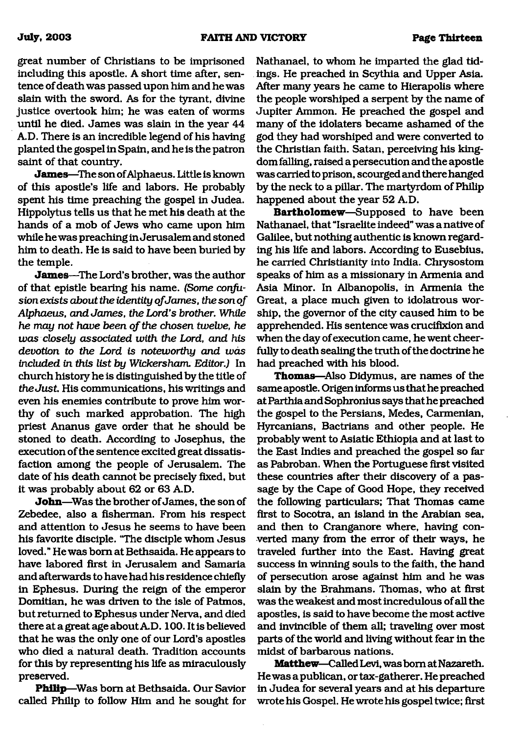great number of Christians to be imprisoned including this apostle. A short time after, sentence of death was passed upon him and he was slain with the sword. As for the tyrant, divine justice overtook him; he was eaten of worms until he died. James was slain in the year 44 A.D. There is an incredible legend of his having planted the gospel in Spain, and he is the patron saint of that country.

**James**—The son of Alphaeus. Little is known of this apostle's life and labors. He probably spent his time preaching the gospel in Judea. Hippolytus tells us that he met his death at the hands of a mob of Jews who came upon him while he was preaching in Jerusalem and stoned him to death. He is said to have been buried by the temple.

**James**—The Lord's brother, was the author of that epistle bearing his name. *(Some confu*sion exists about the identity of James, the son of *Alphaeus, and James, the Lord's brother. While he may not have been of the chosen twelve, he was closely associated with the Lord, and his devotion to the Lord is noteworthy and was included in this list by Wickersham. Editor.)* In church history he is distinguished by the title of *the Just.* His communications, his writings and even his enemies contribute to prove him worthy of such marked approbation. The high priest Ananus gave order that he should be stoned to death. According to Josephus, the execution of the sentence excited great dissatisfaction among the people of Jerusalem. The date of his death cannot be precisely fixed, but it was probably about 62 or 63 A.D.

**John—**Was the brother of James, the son of Zebedee, also a fisherman. From his respect and attention to Jesus he seems to have been his favorite disciple. "The disciple whom Jesus loved." He was bom at Bethsaida. He appears to have labored first in Jerusalem and Samaria and afterwards to have had his residence chiefly in Ephesus. During the reign of the emperor Domitian, he was driven to the isle of Patmos, but returned to Ephesus under Nerva, and died there at a great age about A.D. 100. It is believed that he was the only one of our Lord's apostles who died a natural death. Tradition accounts for this by representing his life as miraculously preserved.

**Philip**—Was bom at Bethsaida. Our Savior called Philip to follow Him and he sought for Nathanael, to whom he imparted the glad tidings. He preached in Scythia and Upper Asia. After many years he came to Hierapolis where the people worshiped a serpent by the name of Jupiter Ammon. He preached the gospel and many of the idolaters became ashamed of the god they had worshiped and were converted to the Christian faith. Satan, perceiving his kingdom falling, raised a persecution and the apostle was carried to prison, scourged and there hanged by the neck to a pillar. The martyrdom of Philip happened about the year 52 A.D.

**Bartholomew**—Supposed to have been Nathanael, that "Israelite indeed" was a native of Galilee, but nothing authentic is known regarding his life and labors. According to Eusebius, he carried Christianity into India. Chrysostom speaks of him as a missionary in Armenia and Asia Minor. In Albanopolis, in Armenia the Great, a place much given to idolatrous worship, the governor of the city caused him to be apprehended. His sentence was crucifixion and when the day of execution came, he went cheerfully to death sealing the truth of the doctrine he had preached with his blood.

**Thomas**—Also Didymus, are names of the same apostle. Origen informs us that he preached at Parthia and Sophronius says that he preached the gospel to the Persians, Medes, Carmenian, Hyrcanians, Bactrians and other people. He probably went to Asiatic Ethiopia and at last to the East Indies and preached the gospel so far as Pabroban. When the Portuguese first visited these countries after their discovery of a passage by the Cape of Good Hope, they received the following particulars; That Thomas came first to Socotra, an island in the Arabian sea, and then to Cranganore where, having converted many from the error of their ways, he traveled further into the East. Having great success in winning souls to the faith, the hand of persecution arose against him and he was slain by the Brahmans. Thomas, who at first was the weakest and most incredulous of all the apostles, is said to have become the most active and invincible of them all; traveling over most parts of the world and living without fear in the midst of barbarous nations.

**Matthew**—Called Levi, was bom at Nazareth. He was a publican, or tax-gatherer. He preached in Judea for several years and at his departure wrote his Gospel. He wrote his gospel twice; first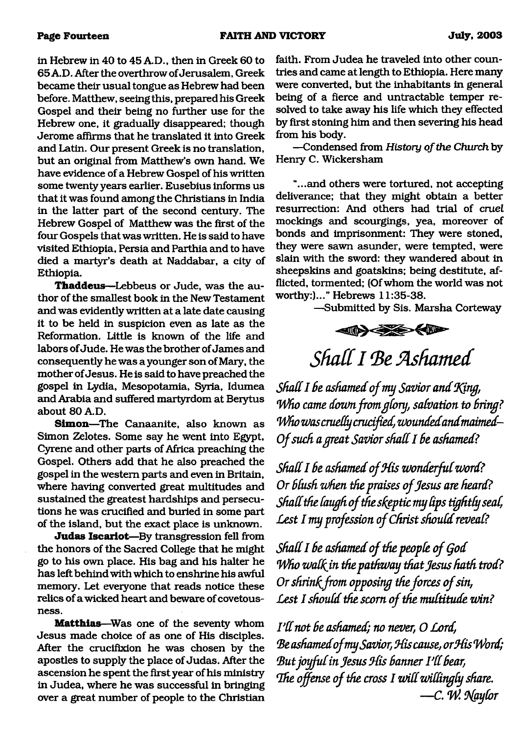in Hebrew in 40 to 45 A.D., then in Greek 60 to 65 A.D. After the overthrow of Jerusalem, Greek became their usual tongue as Hebrew had been before. Matthew, seeing this, prepared his Greek Gospel and their being no further use for the Hebrew one, it gradually disappeared; though Jerome affirms that he translated it into Greek and Latin. Our present Greek is no translation, but an original from Matthew's own hand. We have evidence of a Hebrew Gospel of his written some twenty years earlier. Eusebius informs us that it was found among the Christians in India in the latter part of the second century. The Hebrew Gospel of Matthew was the first of the four Gospels that was written. He is said to have visited Ethiopia, Persia and Parthia and to have died a martyr's death at Naddabar, a city of Ethiopia.

**Thaddeus**—Lebbeus or Jude, was the author of the smallest book in the New Testament and was evidently written at a late date causing it to be held in suspicion even as late as the Reformation. Little is known of the life and labors of Jude. He was the brother of James and consequently he was a younger son of Mary, the mother of Jesus. He is said to have preached the gospel in Lydia, Mesopotamia, Syria, Idumea and Arabia and suffered martyrdom at Berytus about 80 A.D.

**Simon**—The Canaanite, also known as Simon Zelotes. Some say he went into Egypt, Cyrene and other parts of Africa preaching the Gospel. Others add that he also preached the gospel in the western parts and even in Britain, where having converted great multitudes and sustained the greatest hardships and persecutions he was crucified and buried in some part of the island, but the exact place is unknown.

**Judas Iscariot**—By transgression fell from the honors of the Sacred College that he might go to his own place. His bag and his halter he has left behind with which to enshrine his awful memory. Let everyone that reads notice these relics of a wicked heart and beware of covetousness.

**Matthias**—Was one of the seventy whom Jesus made choice of as one of His disciples. After the crucifixion he was chosen by the apostles to supply the place of Judas. After the ascension he spent the first year of his ministry in Judea, where he was successful in bringing over a great number of people to the Christian

faith. From Judea he traveled into other countries and came at length to Ethiopia. Here many were converted, but the inhabitants in general being of a fierce and untractable temper resolved to take away his life which they effected by first stoning him and then severing his head from his body.

—Condensed from *History of the Church* by Henry C. Wickersham

"...and others were tortured, not accepting deliverance; that they might obtain a better resurrection: And others had trial of *cruel* mockings and scourgings, yea, moreover of bonds and imprisonment: They were stoned, they were sawn asunder, were tempted, were slain with the sword: they wandered about in sheepskins and goatskins; being destitute, afflicted, tormented; (Of whom the world was not worthy:)..." Hebrews 11:35-38.

—Submitted by Sis. Marsha Corteway

**INSIE** 

*Shaft I (Be Ashamed*

*Shall I be ashamed of my Savior and King, Who came downfromglory, salvation to Bring? Who was cruelly crucified, zvoundedandmaimed-Of such a great Savior shall I be ashamed?* 

*Shall I be ashamed of His wonderful word? Or blush when the praises of Jesus are heard? Shall the laugh of the skeptic my lips tightly seal,* Lest I my profession of Christ should reveal?

*Shall I be ashamed of the people of God* Who walk in the pathway that Jesus hath trod? *Or shrink from opposing the forces of sin,* Lest I should the scorn of the multitude win?

*V il not Be ashamed; no never, O Lord, Be ashamedofmy Savior, His cause, or His Word;* But joyful in Jesus His banner I'll bear, The offense of the cross I will willingly share. — C. *W Hgylor*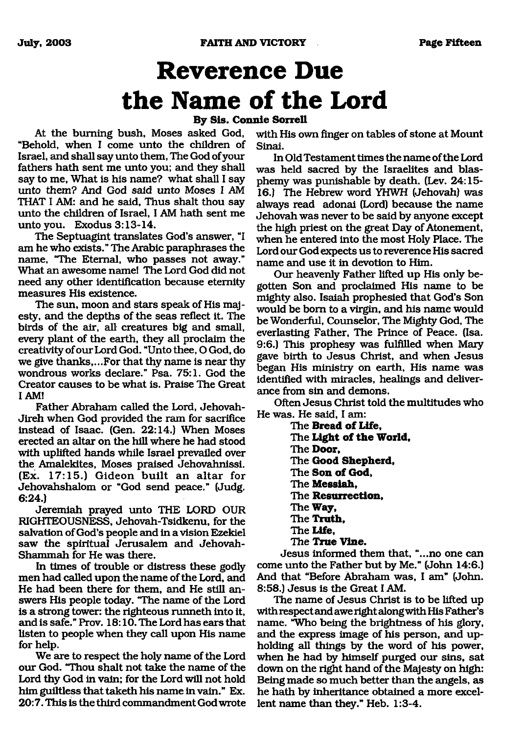# **Reverence Due the Name of the Lord**

# **By Sis. Connie Sorrell**

At the burning bush, Moses asked God, "Behold, when I come unto the children of Israel, and shall say unto them, The God of your fathers hath sent me unto you; and they shall say to me, What is his name? what shall I say unto them? And God said unto Moses I AM THAT I AM: and he said, Thus shalt thou say unto the children of Israel, I AM hath sent me unto you. Exodus 3:13-14.

The Septuagint translates God's answer, "I am he who exists." The Arabic paraphrases the name, "The Eternal, who passes not away." What an awesome name! The Lord God did not need any other identification because eternity measures His existence.

The sun, moon and stars speak of His majesty, and the depths of the seas reflect it. The birds of the air, all creatures big and small, every plant of the earth, they all proclaim the creativity of our Lord God. "Unto thee, O God, do we give thanks,...For that thy name is near thy wondrous works declare." Psa. 75:1. God the Creator causes to be what is. Praise The Great I AM!

Father Abraham called the Lord, Jehovah-Jireh when God provided the ram for sacrifice instead of Isaac. (Gen. 22:14.) When Moses erected an altar on the hill where he had stood with uplifted hands while Israel prevailed over the Amalekites, Moses praised Jehovahnissi.  $(EX. 17:15.)$  Gideon built an altar for Jehovahshalom or "God send peace." (Judg. 6:24.)

Jeremiah prayed unto THE LORD OUR RIGHTEOUSNESS, Jehovah-Tsidkenu, for the salvation of God's people and in a vision Ezekiel saw the spiritual Jerusalem and Jehovah-Shammah for He was there.

In times of trouble or distress these godly men had called upon the name of the Lord, and He had been there for them, and He still answers His people today. "The name of the Lord is a strong tower, the righteous runneth into it, and is safe." Prov. 18:10. The Lord has ears that listen to people when they call upon His name for help.

We are to respect the holy name of the Lord our God. "Thou shalt not take the name of the Lord thy God in vain; for the Lord will not hold him guiltless that taketh his name in vain." Ex. 20:7. This is the third commandment God wrote

with His own finger on tables of stone at Mount Sinai.

In Old Testament times the name of the Lord was held sacred by the Israelites and blasphemy was punishable by death. (Lev. 24:15- 16.) The Hebrew word YHWH (Jehovah) was always read adonai (Lord) because the name Jehovah was never to be said by anyone except the high priest on the great Day of Atonement, when he entered into the most Holy Place. The Lord our God expects us to reverence His sacred name and use it in devotion to Him.

Our heavenly Father lifted up His only begotten Son and proclaimed His name to be mighty also. Isaiah prophesied that God's Son would be bom to a virgin, and his name would be Wonderful, Counselor, The Mighty God, The everlasting Father, The Prince of Peace. (Isa. 9:6.) This prophesy was fulfilled when Mary gave birth to Jesus Christ, and when Jesus began His ministry on earth, His name was identified with miracles, healings and deliverance from sin and demons.

Often Jesus Christ told the multitudes who He was. He said, I am:

> The **Bread of Life**, The Light of the World, The **Door,** The **Good Shepherd,** The **Son of God**, The **Messiah,** The **Resurrection,** The **Way,** The **Truth,** The **Life.** The **True Vine.**

Jesus informed them that, "...no one can come unto the Father but by Me." (John 14:6.) And that "Before Abraham was, I am" (John. 8:58.) Jesus is the Great I AM.

The name of Jesus Christ is to be lifted up with respect and awe right along with His Father's name. "Who being the brightness of his glory, and the express image of his person, and upholding all things by the word of his power, when he had by himself purged our sins, sat down on the right hand of the Majesty on high: Being made so much better than the angels, as he hath by inheritance obtained a more excellent name than they." Heb. 1:3-4.